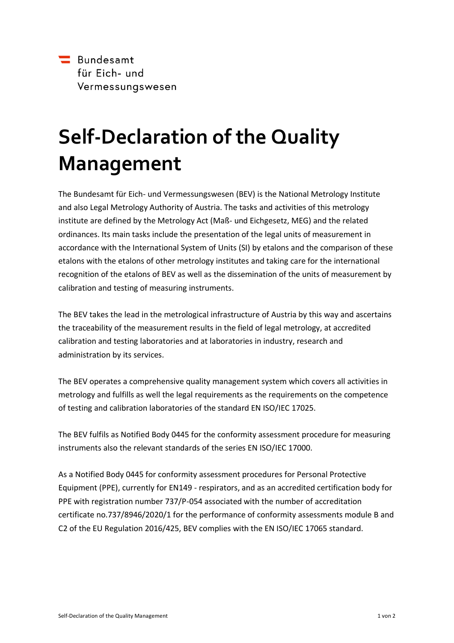

## **Self-Declaration of the Quality Management**

The Bundesamt für Eich- und Vermessungswesen (BEV) is the National Metrology Institute and also Legal Metrology Authority of Austria. The tasks and activities of this metrology institute are defined by the Metrology Act (Maß- und Eichgesetz, MEG) and the related ordinances. Its main tasks include the presentation of the legal units of measurement in accordance with the International System of Units (SI) by etalons and the comparison of these etalons with the etalons of other metrology institutes and taking care for the international recognition of the etalons of BEV as well as the dissemination of the units of measurement by calibration and testing of measuring instruments.

The BEV takes the lead in the metrological infrastructure of Austria by this way and ascertains the traceability of the measurement results in the field of legal metrology, at accredited calibration and testing laboratories and at laboratories in industry, research and administration by its services.

The BEV operates a comprehensive quality management system which covers all activities in metrology and fulfills as well the legal requirements as the requirements on the competence of testing and calibration laboratories of the standard EN ISO/IEC 17025.

The BEV fulfils as Notified Body 0445 for the conformity assessment procedure for measuring instruments also the relevant standards of the series EN ISO/IEC 17000.

As a Notified Body 0445 for conformity assessment procedures for Personal Protective Equipment (PPE), currently for EN149 - respirators, and as an accredited certification body for PPE with registration number 737/P-054 associated with the number of accreditation certificate no.737/8946/2020/1 for the performance of conformity assessments module B and C2 of the EU Regulation 2016/425, BEV complies with the EN ISO/IEC 17065 standard.